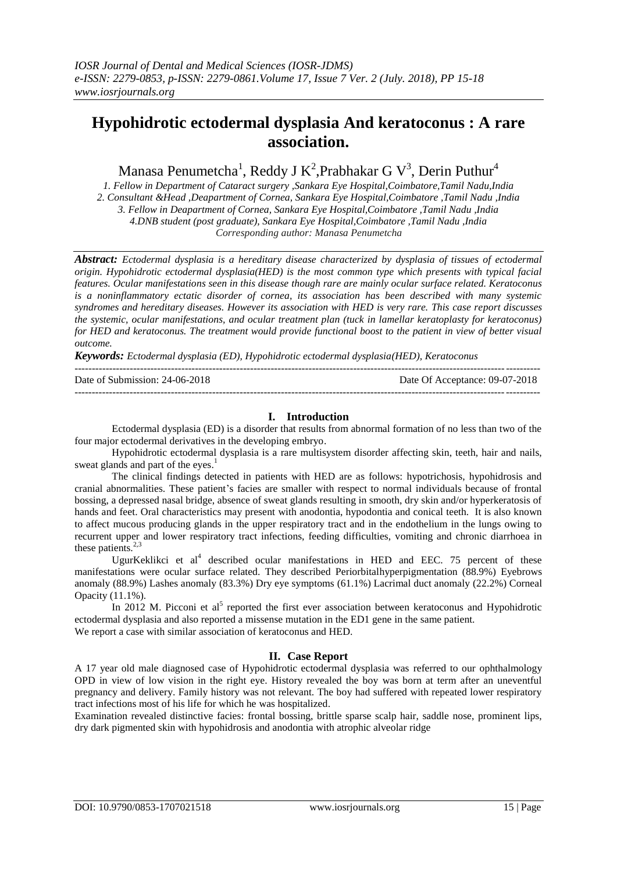# **Hypohidrotic ectodermal dysplasia And keratoconus : A rare association.**

Manasa Penumetcha $^{\rm l}$ , Reddy J K $^{\rm 2}$ ,Prabhakar G V $^{\rm 3}$ , Derin Puthur $^{\rm 4}$ 

*1. Fellow in Department of Cataract surgery ,Sankara Eye Hospital,Coimbatore,Tamil Nadu,India 2. Consultant &Head ,Deapartment of Cornea, Sankara Eye Hospital,Coimbatore ,Tamil Nadu ,India 3. Fellow in Deapartment of Cornea, Sankara Eye Hospital,Coimbatore ,Tamil Nadu ,India 4.DNB student (post graduate), Sankara Eye Hospital,Coimbatore ,Tamil Nadu ,India Corresponding author: Manasa Penumetcha*

*Abstract: Ectodermal dysplasia is a hereditary disease characterized by dysplasia of tissues of ectodermal origin. Hypohidrotic ectodermal dysplasia(HED) is the most common type which presents with typical facial features. Ocular manifestations seen in this disease though rare are mainly ocular surface related. Keratoconus is a noninflammatory ectatic disorder of cornea, its association has been described with many systemic syndromes and hereditary diseases. However its association with HED is very rare. This case report discusses the systemic, ocular manifestations, and ocular treatment plan (tuck in lamellar keratoplasty for keratoconus) for HED and keratoconus. The treatment would provide functional boost to the patient in view of better visual outcome.*

*Keywords: Ectodermal dysplasia (ED), Hypohidrotic ectodermal dysplasia(HED), Keratoconus*

*---------------------------------------------------------------------------------------------------------------------------------------* Date of Submission: 24-06-2018 Date Of Acceptance: 09-07-2018 ---------------------------------------------------------------------------------------------------------------------------------------

# **I. Introduction**

Ectodermal dysplasia (ED) is a disorder that results from abnormal formation of no less than two of the four major ectodermal derivatives in the developing embryo.

Hypohidrotic ectodermal dysplasia is a rare multisystem disorder affecting skin, teeth, hair and nails, sweat glands and part of the eyes.<sup>1</sup>

The clinical findings detected in patients with HED are as follows: hypotrichosis, hypohidrosis and cranial abnormalities. These patient's facies are smaller with respect to normal individuals because of frontal bossing, a depressed nasal bridge, absence of sweat glands resulting in smooth, dry skin and/or hyperkeratosis of hands and feet. Oral characteristics may present with anodontia, hypodontia and conical teeth. It is also known to affect mucous producing glands in the upper respiratory tract and in the endothelium in the lungs owing to recurrent upper and lower respiratory tract infections, feeding difficulties, vomiting and chronic diarrhoea in these patients. $2,3$ 

UgurKeklikci et al<sup>4</sup> described ocular manifestations in HED and EEC. 75 percent of these manifestations were ocular surface related. They described Periorbitalhyperpigmentation (88.9%) Eyebrows anomaly (88.9%) Lashes anomaly (83.3%) Dry eye symptoms (61.1%) Lacrimal duct anomaly (22.2%) Corneal Opacity (11.1%).

In 2012 M. Picconi et al<sup>5</sup> reported the first ever association between keratoconus and Hypohidrotic ectodermal dysplasia and also reported a missense mutation in the ED1 gene in the same patient. We report a case with similar association of keratoconus and HED.

# **II. Case Report**

A 17 year old male diagnosed case of Hypohidrotic ectodermal dysplasia was referred to our ophthalmology OPD in view of low vision in the right eye. History revealed the boy was born at term after an uneventful pregnancy and delivery. Family history was not relevant. The boy had suffered with repeated lower respiratory tract infections most of his life for which he was hospitalized.

Examination revealed distinctive facies: frontal bossing, brittle sparse scalp hair, saddle nose, prominent lips, dry dark pigmented skin with hypohidrosis and anodontia with atrophic alveolar ridge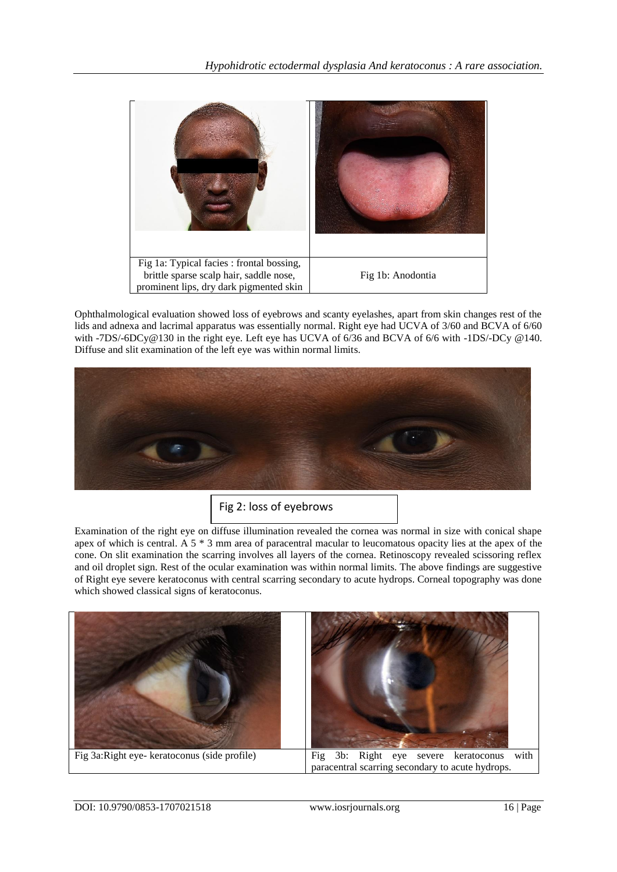

Ophthalmological evaluation showed loss of eyebrows and scanty eyelashes, apart from skin changes rest of the lids and adnexa and lacrimal apparatus was essentially normal. Right eye had UCVA of 3/60 and BCVA of 6/60 with -7DS/-6DCy@130 in the right eye. Left eye has UCVA of 6/36 and BCVA of 6/6 with -1DS/-DCy @140. Diffuse and slit examination of the left eye was within normal limits.





Examination of the right eye on diffuse illumination revealed the cornea was normal in size with conical shape apex of which is central. A 5 \* 3 mm area of paracentral macular to leucomatous opacity lies at the apex of the cone. On slit examination the scarring involves all layers of the cornea. Retinoscopy revealed scissoring reflex and oil droplet sign. Rest of the ocular examination was within normal limits. The above findings are suggestive of Right eye severe keratoconus with central scarring secondary to acute hydrops. Corneal topography was done which showed classical signs of keratoconus.

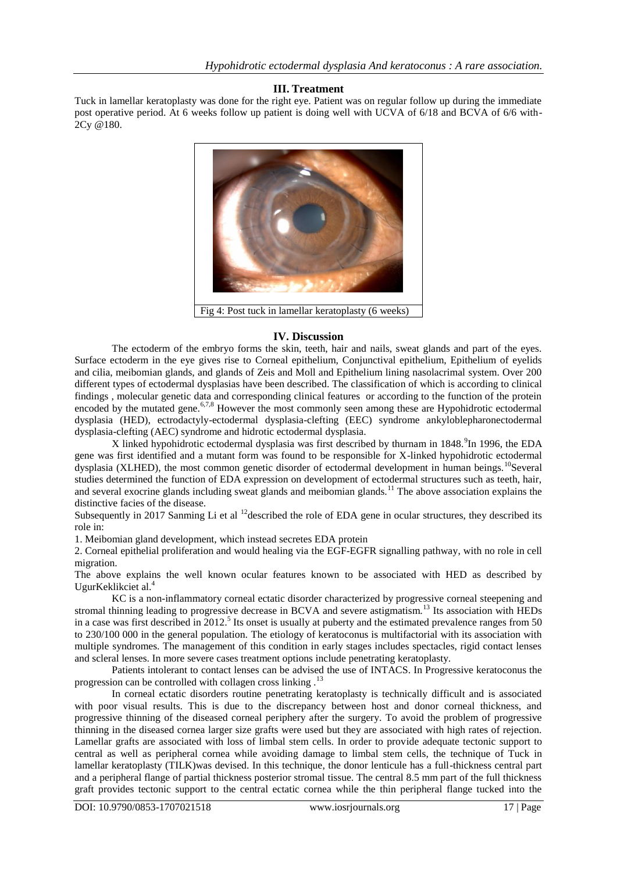### **III. Treatment**

Tuck in lamellar keratoplasty was done for the right eye. Patient was on regular follow up during the immediate post operative period. At 6 weeks follow up patient is doing well with UCVA of 6/18 and BCVA of 6/6 with-2Cy @180.



Fig 4: Post tuck in lamellar keratoplasty (6 weeks)

## **IV. Discussion**

The ectoderm of the embryo forms the skin, teeth, hair and nails, sweat glands and part of the eyes. Surface ectoderm in the eye gives rise to Corneal epithelium, Conjunctival epithelium, Epithelium of eyelids and cilia, meibomian glands, and glands of Zeis and Moll and Epithelium lining nasolacrimal system. Over 200 different types of ectodermal dysplasias have been described. The classification of which is according to clinical findings , molecular genetic data and corresponding clinical features or according to the function of the protein encoded by the mutated gene.<sup>6,7,8</sup> However the most commonly seen among these are Hypohidrotic ectodermal dysplasia (HED), ectrodactyly-ectodermal dysplasia-clefting (EEC) syndrome ankyloblepharonectodermal dysplasia-clefting (AEC) syndrome and hidrotic ectodermal dysplasia.

X linked hypohidrotic ectodermal dysplasia was first described by thurnam in 1848.<sup>9</sup>In 1996, the EDA gene was first identified and a mutant form was found to be responsible for X-linked hypohidrotic ectodermal dysplasia (XLHED), the most common genetic disorder of ectodermal development in human beings.<sup>10</sup>Several studies determined the function of EDA expression on development of ectodermal structures such as teeth, hair, and several exocrine glands including sweat glands and meibomian glands.<sup>11</sup> The above association explains the distinctive facies of the disease.

Subsequently in 2017 Sanming Li et al  $^{12}$ described the role of EDA gene in ocular structures, they described its role in:

1. Meibomian gland development, which instead secretes EDA protein

2. Corneal epithelial proliferation and would healing via the EGF-EGFR signalling pathway, with no role in cell migration.

The above explains the well known ocular features known to be associated with HED as described by UgurKeklikciet al. 4

KC is a non-inflammatory corneal ectatic disorder characterized by progressive corneal steepening and stromal thinning leading to progressive decrease in BCVA and severe astigmatism.<sup>13</sup> Its association with HEDs in a case was first described in 2012.<sup>5</sup> Its onset is usually at puberty and the estimated prevalence ranges from 50 to 230/100 000 in the general population. The etiology of keratoconus is multifactorial with its association with multiple syndromes. The management of this condition in early stages includes spectacles, rigid contact lenses and scleral lenses. In more severe cases treatment options include penetrating keratoplasty.

Patients intolerant to contact lenses can be advised the use of INTACS. In Progressive keratoconus the progression can be controlled with collagen cross linking  $\cdot$ <sup>1</sup>

In corneal ectatic disorders routine penetrating keratoplasty is technically difficult and is associated with poor visual results. This is due to the discrepancy between host and donor corneal thickness, and progressive thinning of the diseased corneal periphery after the surgery. To avoid the problem of progressive thinning in the diseased cornea larger size grafts were used but they are associated with high rates of rejection. Lamellar grafts are associated with loss of limbal stem cells. In order to provide adequate tectonic support to central as well as peripheral cornea while avoiding damage to limbal stem cells, the technique of Tuck in lamellar keratoplasty (TILK)was devised. In this technique, the donor lenticule has a full-thickness central part and a peripheral flange of partial thickness posterior stromal tissue. The central 8.5 mm part of the full thickness graft provides tectonic support to the central ectatic cornea while the thin peripheral flange tucked into the